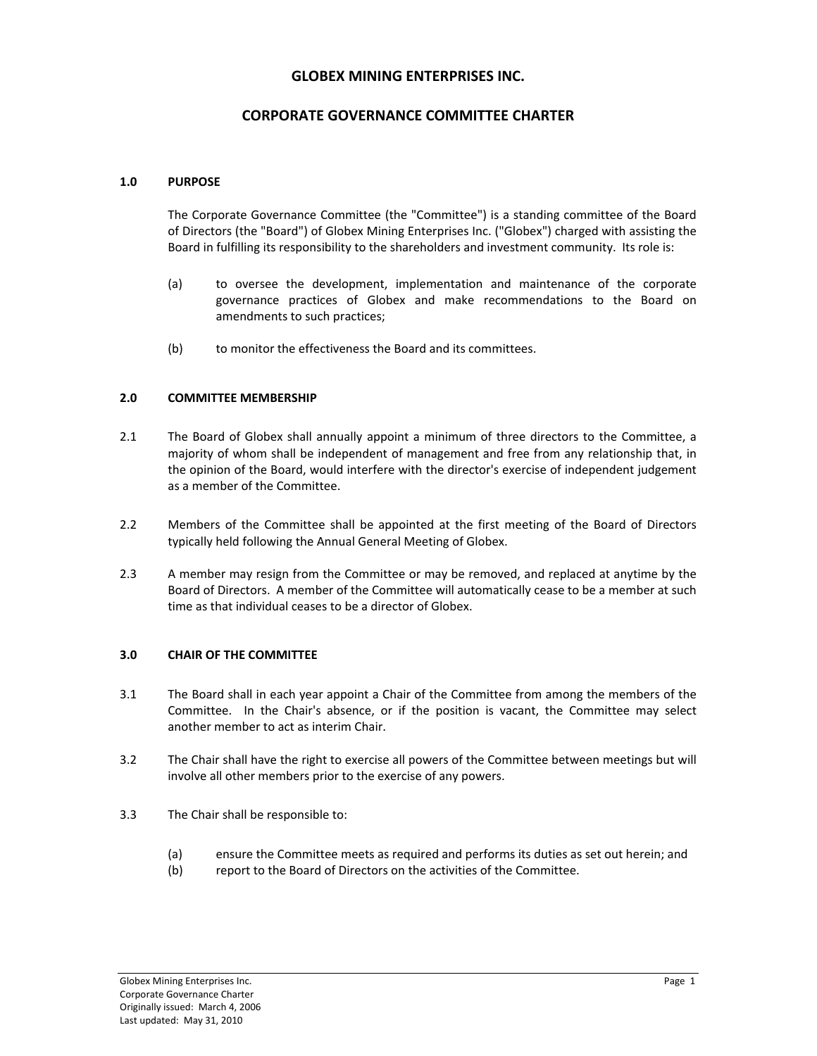# **GLOBEX MINING ENTERPRISES INC.**

# **CORPORATE GOVERNANCE COMMITTEE CHARTER**

### **1.0 PURPOSE**

The Corporate Governance Committee (the "Committee") is a standing committee of the Board of Directors (the "Board") of Globex Mining Enterprises Inc. ("Globex") charged with assisting the Board in fulfilling its responsibility to the shareholders and investment community. Its role is:

- (a) to oversee the development, implementation and maintenance of the corporate governance practices of Globex and make recommendations to the Board on amendments to such practices;
- (b) to monitor the effectiveness the Board and its committees.

#### **2.0 COMMITTEE MEMBERSHIP**

- 2.1 The Board of Globex shall annually appoint a minimum of three directors to the Committee, a majority of whom shall be independent of management and free from any relationship that, in the opinion of the Board, would interfere with the director's exercise of independent judgement as a member of the Committee.
- 2.2 Members of the Committee shall be appointed at the first meeting of the Board of Directors typically held following the Annual General Meeting of Globex.
- 2.3 A member may resign from the Committee or may be removed, and replaced at anytime by the Board of Directors. A member of the Committee will automatically cease to be a member at such time as that individual ceases to be a director of Globex.

### **3.0 CHAIR OF THE COMMITTEE**

- 3.1 The Board shall in each year appoint a Chair of the Committee from among the members of the Committee. In the Chair's absence, or if the position is vacant, the Committee may select another member to act as interim Chair.
- 3.2 The Chair shall have the right to exercise all powers of the Committee between meetings but will involve all other members prior to the exercise of any powers.
- 3.3 The Chair shall be responsible to:
	- (a) ensure the Committee meets as required and performs its duties as set out herein; and
	- (b) report to the Board of Directors on the activities of the Committee.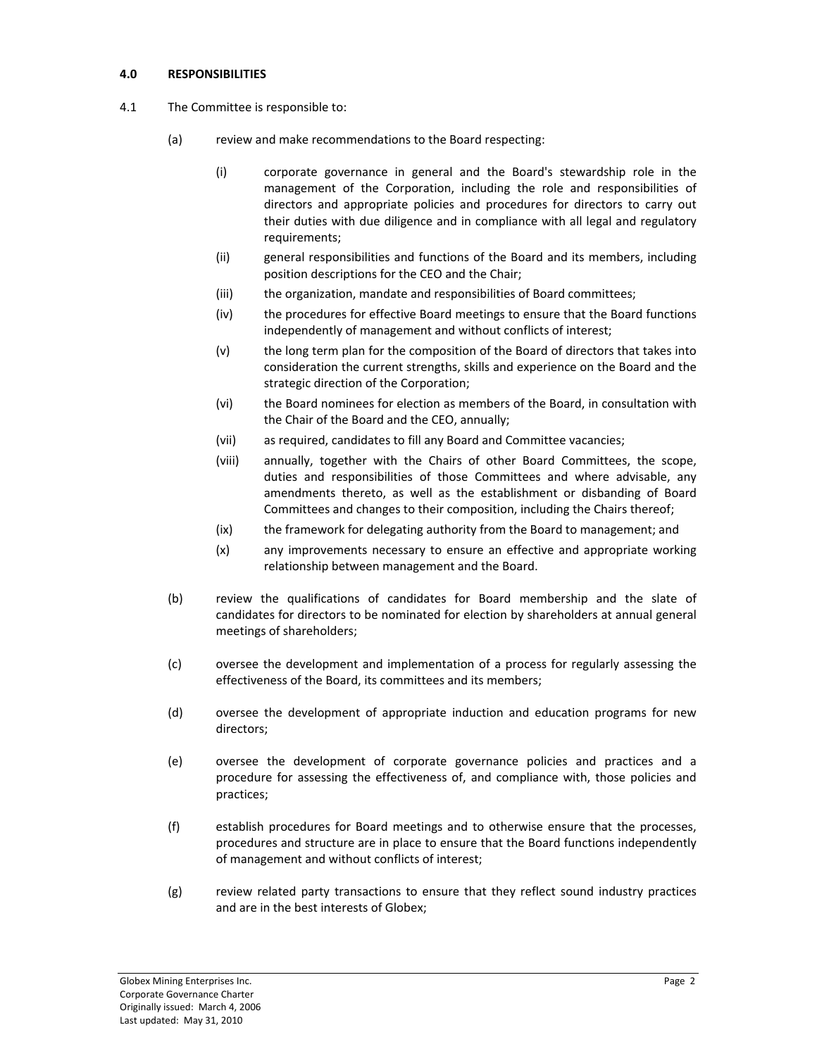### **4.0 RESPONSIBILITIES**

- 4.1 The Committee is responsible to:
	- (a) review and make recommendations to the Board respecting:
		- (i) corporate governance in general and the Board's stewardship role in the management of the Corporation, including the role and responsibilities of directors and appropriate policies and procedures for directors to carry out their duties with due diligence and in compliance with all legal and regulatory requirements;
		- (ii) general responsibilities and functions of the Board and its members, including position descriptions for the CEO and the Chair;
		- (iii) the organization, mandate and responsibilities of Board committees;
		- (iv) the procedures for effective Board meetings to ensure that the Board functions independently of management and without conflicts of interest;
		- (v) the long term plan for the composition of the Board of directors that takes into consideration the current strengths, skills and experience on the Board and the strategic direction of the Corporation;
		- (vi) the Board nominees for election as members of the Board, in consultation with the Chair of the Board and the CEO, annually;
		- (vii) as required, candidates to fill any Board and Committee vacancies;
		- (viii) annually, together with the Chairs of other Board Committees, the scope, duties and responsibilities of those Committees and where advisable, any amendments thereto, as well as the establishment or disbanding of Board Committees and changes to their composition, including the Chairs thereof;
		- (ix) the framework for delegating authority from the Board to management; and
		- (x) any improvements necessary to ensure an effective and appropriate working relationship between management and the Board.
	- (b) review the qualifications of candidates for Board membership and the slate of candidates for directors to be nominated for election by shareholders at annual general meetings of shareholders;
	- (c) oversee the development and implementation of a process for regularly assessing the effectiveness of the Board, its committees and its members;
	- (d) oversee the development of appropriate induction and education programs for new directors;
	- (e) oversee the development of corporate governance policies and practices and a procedure for assessing the effectiveness of, and compliance with, those policies and practices;
	- (f) establish procedures for Board meetings and to otherwise ensure that the processes, procedures and structure are in place to ensure that the Board functions independently of management and without conflicts of interest;
	- (g) review related party transactions to ensure that they reflect sound industry practices and are in the best interests of Globex;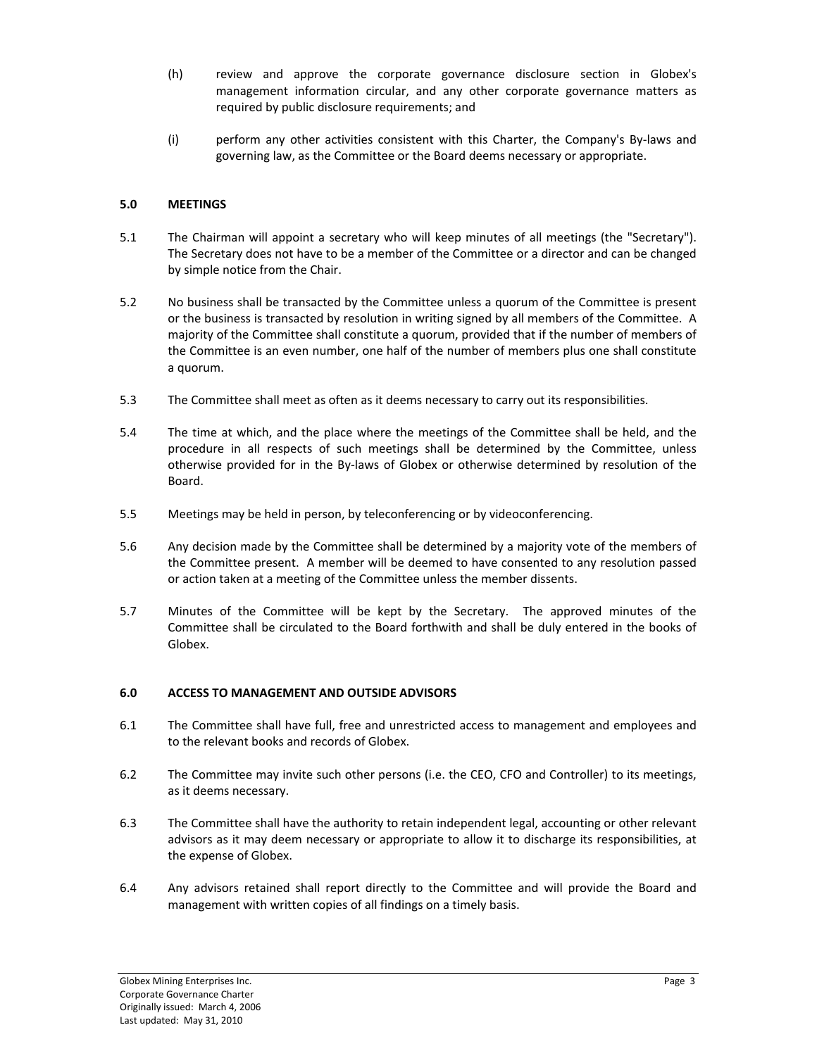- (h) review and approve the corporate governance disclosure section in Globex's management information circular, and any other corporate governance matters as required by public disclosure requirements; and
- (i) perform any other activities consistent with this Charter, the Company's By‐laws and governing law, as the Committee or the Board deems necessary or appropriate.

### **5.0 MEETINGS**

- 5.1 The Chairman will appoint a secretary who will keep minutes of all meetings (the "Secretary"). The Secretary does not have to be a member of the Committee or a director and can be changed by simple notice from the Chair.
- 5.2 No business shall be transacted by the Committee unless a quorum of the Committee is present or the business is transacted by resolution in writing signed by all members of the Committee. A majority of the Committee shall constitute a quorum, provided that if the number of members of the Committee is an even number, one half of the number of members plus one shall constitute a quorum.
- 5.3 The Committee shall meet as often as it deems necessary to carry out its responsibilities.
- 5.4 The time at which, and the place where the meetings of the Committee shall be held, and the procedure in all respects of such meetings shall be determined by the Committee, unless otherwise provided for in the By‐laws of Globex or otherwise determined by resolution of the Board.
- 5.5 Meetings may be held in person, by teleconferencing or by videoconferencing.
- 5.6 Any decision made by the Committee shall be determined by a majority vote of the members of the Committee present. A member will be deemed to have consented to any resolution passed or action taken at a meeting of the Committee unless the member dissents.
- 5.7 Minutes of the Committee will be kept by the Secretary. The approved minutes of the Committee shall be circulated to the Board forthwith and shall be duly entered in the books of Globex.

### **6.0 ACCESS TO MANAGEMENT AND OUTSIDE ADVISORS**

- 6.1 The Committee shall have full, free and unrestricted access to management and employees and to the relevant books and records of Globex.
- 6.2 The Committee may invite such other persons (i.e. the CEO, CFO and Controller) to its meetings, as it deems necessary.
- 6.3 The Committee shall have the authority to retain independent legal, accounting or other relevant advisors as it may deem necessary or appropriate to allow it to discharge its responsibilities, at the expense of Globex.
- 6.4 Any advisors retained shall report directly to the Committee and will provide the Board and management with written copies of all findings on a timely basis.